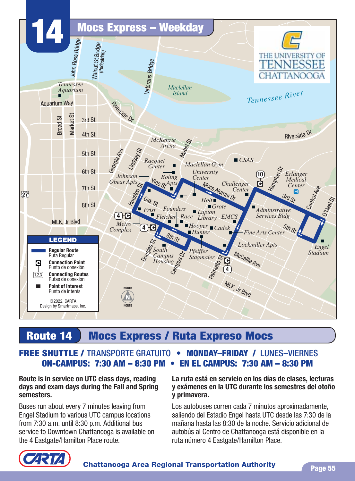

## **Route 14 Mocs Express / Ruta Expreso Mocs**

### ON-CAMPUS: 7:30 AM - 8:30 PM • EN EL CAMPUS: 7:30 AM - 8:30 PM **FREE SHUTTLE /** TRANSPORTE GRATUITO¬¬s¬¬**MONDAY–FRIDAY /** LUNES–VIERNES

#### **Route is in service on UTC class days, reading days and exam days during the Fall and Spring semesters.**

Buses run about every 7 minutes leaving from Engel Stadium to various UTC campus locations from 7:30 a.m. until 8:30 p.m. Additional bus service to Downtown Chattanooga is available on the 4 Eastgate/Hamilton Place route.

#### **La ruta está en servicio en los días de clases, lecturas y exámenes en la UTC durante los semestres del otoño y primavera.**

Los autobuses corren cada 7 minutos aproximadamente, saliendo del Estadio Engel hasta UTC desde las 7:30 de la mañana hasta las 8:30 de la noche. Servicio adicional de autobús al Centro de Chattanooga está disponible en la ruta número 4 Eastgate/Hamilton Place.